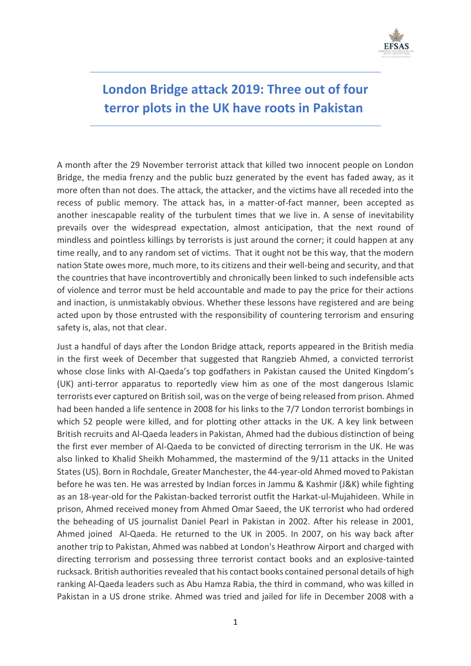

# **London Bridge attack 2019: Three out of four terror plots in the UK have roots in Pakistan**

A month after the 29 November terrorist attack that killed two innocent people on London Bridge, the media frenzy and the public buzz generated by the event has faded away, as it more often than not does. The attack, the attacker, and the victims have all receded into the recess of public memory. The attack has, in a matter-of-fact manner, been accepted as another inescapable reality of the turbulent times that we live in. A sense of inevitability prevails over the widespread expectation, almost anticipation, that the next round of mindless and pointless killings by terrorists is just around the corner; it could happen at any time really, and to any random set of victims. That it ought not be this way, that the modern nation State owes more, much more, to its citizens and their well-being and security, and that the countries that have incontrovertibly and chronically been linked to such indefensible acts of violence and terror must be held accountable and made to pay the price for their actions and inaction, is unmistakably obvious. Whether these lessons have registered and are being acted upon by those entrusted with the responsibility of countering terrorism and ensuring safety is, alas, not that clear.

Just a handful of days after the London Bridge attack, reports appeared in the British media in the first week of December that suggested that Rangzieb Ahmed, a convicted terrorist whose close links with Al-Qaeda's top godfathers in Pakistan caused the United Kingdom's (UK) anti-terror apparatus to reportedly view him as one of the most dangerous Islamic terrorists ever captured on British soil, was on the verge of being released from prison. Ahmed had been handed a life sentence in 2008 for his links to the 7/7 London terrorist bombings in which 52 people were killed, and for plotting other attacks in the UK. A key link between British recruits and Al-Qaeda leaders in Pakistan, Ahmed had the dubious distinction of being the first ever member of Al-Qaeda to be convicted of directing terrorism in the UK. He was also linked to Khalid Sheikh Mohammed, the mastermind of the 9/11 attacks in the United States (US). Born in Rochdale, Greater Manchester, the 44-year-old Ahmed moved to Pakistan before he was ten. He was arrested by Indian forces in Jammu & Kashmir (J&K) while fighting as an 18-year-old for the Pakistan-backed terrorist outfit the Harkat-ul-Mujahideen. While in prison, Ahmed received money from Ahmed Omar Saeed, the UK terrorist who had ordered the beheading of US journalist Daniel Pearl in Pakistan in 2002. After his release in 2001, Ahmed joined Al-Qaeda. He returned to the UK in 2005. In 2007, on his way back after another trip to Pakistan, Ahmed was nabbed at London's Heathrow Airport and charged with directing terrorism and possessing three terrorist contact books and an explosive-tainted rucksack. British authorities revealed that his contact books contained personal details of high ranking Al-Qaeda leaders such as Abu Hamza Rabia, the third in command, who was killed in Pakistan in a US drone strike. Ahmed was tried and jailed for life in December 2008 with a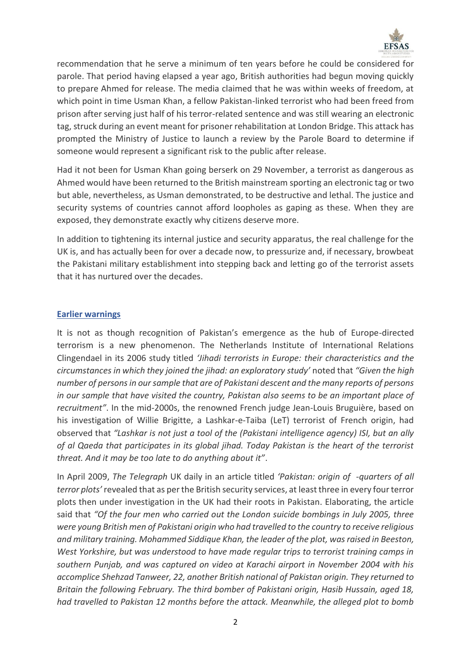

recommendation that he serve a minimum of ten years before he could be considered for parole. That period having elapsed a year ago, British authorities had begun moving quickly to prepare Ahmed for release. The media claimed that he was within weeks of freedom, at which point in time Usman Khan, a fellow Pakistan-linked terrorist who had been freed from prison after serving just half of his terror-related sentence and was still wearing an electronic tag, struck during an event meant for prisoner rehabilitation at London Bridge. This attack has prompted the Ministry of Justice to launch a review by the Parole Board to determine if someone would represent a significant risk to the public after release.

Had it not been for Usman Khan going berserk on 29 November, a terrorist as dangerous as Ahmed would have been returned to the British mainstream sporting an electronic tag or two but able, nevertheless, as Usman demonstrated, to be destructive and lethal. The justice and security systems of countries cannot afford loopholes as gaping as these. When they are exposed, they demonstrate exactly why citizens deserve more.

In addition to tightening its internal justice and security apparatus, the real challenge for the UK is, and has actually been for over a decade now, to pressurize and, if necessary, browbeat the Pakistani military establishment into stepping back and letting go of the terrorist assets that it has nurtured over the decades.

## **Earlier warnings**

It is not as though recognition of Pakistan's emergence as the hub of Europe-directed terrorism is a new phenomenon. The Netherlands Institute of International Relations Clingendael in its 2006 study titled *'Jihadi terrorists in Europe: their characteristics and the circumstances in which they joined the jihad: an exploratory study'* noted that *"Given the high number of persons in our sample that are of Pakistani descent and the many reports of persons in our sample that have visited the country, Pakistan also seems to be an important place of recruitment"*. In the mid-2000s, the renowned French judge Jean-Louis Bruguière, based on his investigation of Willie Brigitte, a Lashkar-e-Taiba (LeT) terrorist of French origin, had observed that *"Lashkar is not just a tool of the (Pakistani intelligence agency) ISI, but an ally of al Qaeda that participates in its global jihad. Today Pakistan is the heart of the terrorist threat. And it may be too late to do anything about it"*.

In April 2009, *The Telegraph* UK daily in an article titled *'Pakistan: origin of -quarters of all terror plots'* revealed that as per the British security services, at least three in every four terror plots then under investigation in the UK had their roots in Pakistan. Elaborating, the article said that *"Of the four men who carried out the London suicide bombings in July 2005, three were young British men of Pakistani origin who had travelled to the country to receive religious and military training. Mohammed Siddique Khan, the leader of the plot, was raised in Beeston, West Yorkshire, but was understood to have made regular trips to terrorist training camps in southern Punjab, and was captured on video at Karachi airport in November 2004 with his accomplice Shehzad Tanweer, 22, another British national of Pakistan origin. They returned to Britain the following February. The third bomber of Pakistani origin, Hasib Hussain, aged 18, had travelled to Pakistan 12 months before the attack. Meanwhile, the alleged plot to bomb*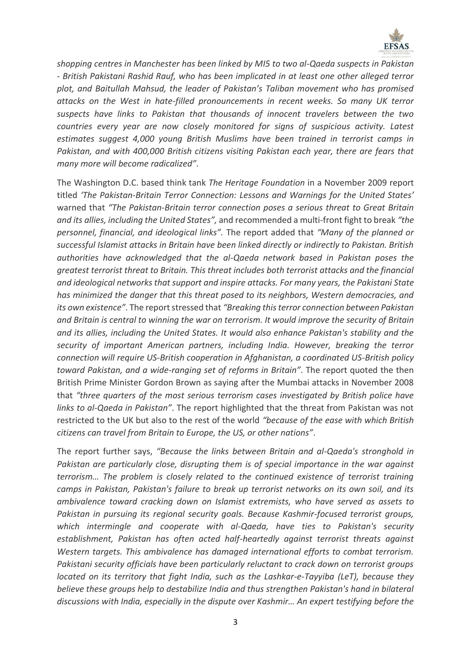

*shopping centres in Manchester has been linked by MI5 to two al-Qaeda suspects in Pakistan - British Pakistani Rashid Rauf, who has been implicated in at least one other alleged terror plot, and Baitullah Mahsud, the leader of Pakistan's Taliban movement who has promised attacks on the West in hate-filled pronouncements in recent weeks. So many UK terror suspects have links to Pakistan that thousands of innocent travelers between the two countries every year are now closely monitored for signs of suspicious activity. Latest estimates suggest 4,000 young British Muslims have been trained in terrorist camps in Pakistan, and with 400,000 British citizens visiting Pakistan each year, there are fears that many more will become radicalized"*.

The Washington D.C. based think tank *The Heritage Foundation* in a November 2009 report titled *'The Pakistan-Britain Terror Connection: Lessons and Warnings for the United States'* warned that *"The Pakistan-Britain terror connection poses a serious threat to Great Britain and its allies, including the United States",* and recommended a multi-front fight to break *"the personnel, financial, and ideological links".* The report added that *"Many of the planned or successful Islamist attacks in Britain have been linked directly or indirectly to Pakistan. British authorities have acknowledged that the al-Qaeda network based in Pakistan poses the greatest terrorist threat to Britain. This threat includes both terrorist attacks and the financial and ideological networks that support and inspire attacks. For many years, the Pakistani State has minimized the danger that this threat posed to its neighbors, Western democracies, and its own existence"*. The report stressed that *"Breaking this terror connection between Pakistan and Britain is central to winning the war on terrorism. It would improve the security of Britain and its allies, including the United States. It would also enhance Pakistan's stability and the security of important American partners, including India. However, breaking the terror connection will require US-British cooperation in Afghanistan, a coordinated US-British policy toward Pakistan, and a wide-ranging set of reforms in Britain"*. The report quoted the then British Prime Minister Gordon Brown as saying after the Mumbai attacks in November 2008 that *"three quarters of the most serious terrorism cases investigated by British police have links to al-Qaeda in Pakistan"*. The report highlighted that the threat from Pakistan was not restricted to the UK but also to the rest of the world *"because of the ease with which British citizens can travel from Britain to Europe, the US, or other nations"*.

The report further says, *"Because the links between Britain and al-Qaeda's stronghold in Pakistan are particularly close, disrupting them is of special importance in the war against terrorism… The problem is closely related to the continued existence of terrorist training camps in Pakistan, Pakistan's failure to break up terrorist networks on its own soil, and its ambivalence toward cracking down on Islamist extremists, who have served as assets to Pakistan in pursuing its regional security goals. Because Kashmir-focused terrorist groups, which intermingle and cooperate with al-Qaeda, have ties to Pakistan's security establishment, Pakistan has often acted half-heartedly against terrorist threats against Western targets. This ambivalence has damaged international efforts to combat terrorism. Pakistani security officials have been particularly reluctant to crack down on terrorist groups located on its territory that fight India, such as the Lashkar-e-Tayyiba (LeT), because they believe these groups help to destabilize India and thus strengthen Pakistan's hand in bilateral discussions with India, especially in the dispute over Kashmir… An expert testifying before the*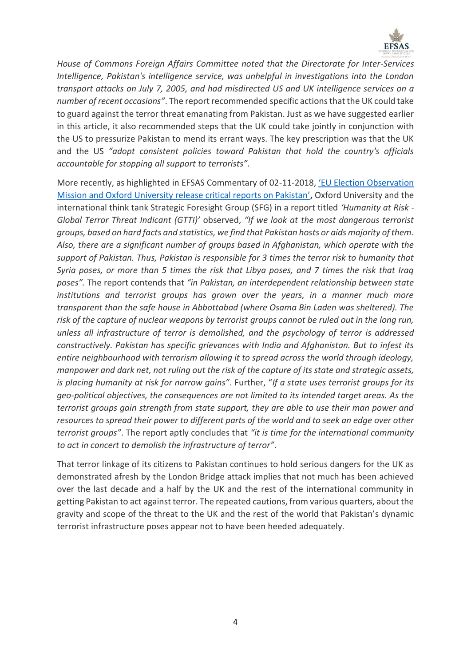

*House of Commons Foreign Affairs Committee noted that the Directorate for Inter-Services Intelligence, Pakistan's intelligence service, was unhelpful in investigations into the London transport attacks on July 7, 2005, and had misdirected US and UK intelligence services on a number of recent occasions"*. The report recommended specific actions that the UK could take to guard against the terror threat emanating from Pakistan. Just as we have suggested earlier in this article, it also recommended steps that the UK could take jointly in conjunction with the US to pressurize Pakistan to mend its errant ways. The key prescription was that the UK and the US *"adopt consistent policies toward Pakistan that hold the country's officials accountable for stopping all support to terrorists"*.

More recently, as highlighted in EFSAS Commentary of 02-11-2018, ['EU Election Observation](https://www.efsas.org/commentaries/eu-election-observation-mission-and-oxford-university-release-critical-reports-on-pakistan/)  Mission an[d Oxford University release critical reports on Pakistan'](https://www.efsas.org/commentaries/eu-election-observation-mission-and-oxford-university-release-critical-reports-on-pakistan/)**,** Oxford University and the international think tank Strategic Foresight Group (SFG) in a report titled *'Humanity at Risk - Global Terror Threat Indicant (GTTI)'* observed, *"If we look at the most dangerous terrorist groups, based on hard facts and statistics, we find that Pakistan hosts or aids majority of them. Also, there are a significant number of groups based in Afghanistan, which operate with the support of Pakistan. Thus, Pakistan is responsible for 3 times the terror risk to humanity that Syria poses, or more than 5 times the risk that Libya poses, and 7 times the risk that Iraq poses".* The report contends that *"in Pakistan, an interdependent relationship between state institutions and terrorist groups has grown over the years, in a manner much more transparent than the safe house in Abbottabad (where Osama Bin Laden was sheltered). The risk of the capture of nuclear weapons by terrorist groups cannot be ruled out in the long run, unless all infrastructure of terror is demolished, and the psychology of terror is addressed constructively. Pakistan has specific grievances with India and Afghanistan. But to infest its entire neighbourhood with terrorism allowing it to spread across the world through ideology, manpower and dark net, not ruling out the risk of the capture of its state and strategic assets, is placing humanity at risk for narrow gains"*. Further, "*If a state uses terrorist groups for its geo-political objectives, the consequences are not limited to its intended target areas. As the terrorist groups gain strength from state support, they are able to use their man power and resources to spread their power to different parts of the world and to seek an edge over other terrorist groups"*. The report aptly concludes that *"it is time for the international community to act in concert to demolish the infrastructure of terror"*.

That terror linkage of its citizens to Pakistan continues to hold serious dangers for the UK as demonstrated afresh by the London Bridge attack implies that not much has been achieved over the last decade and a half by the UK and the rest of the international community in getting Pakistan to act against terror. The repeated cautions, from various quarters, about the gravity and scope of the threat to the UK and the rest of the world that Pakistan's dynamic terrorist infrastructure poses appear not to have been heeded adequately.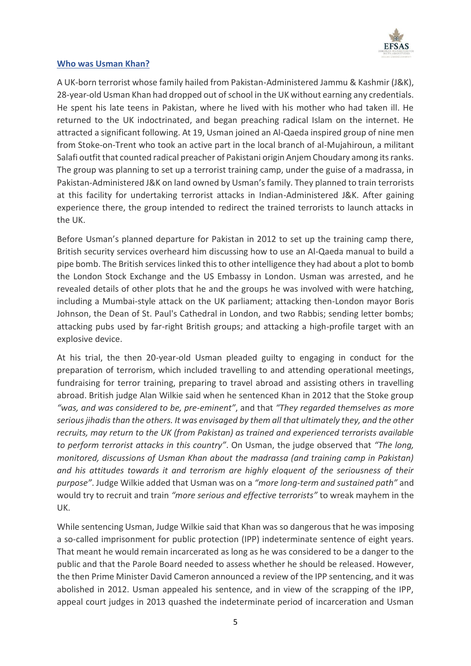

## **Who was Usman Khan?**

A UK-born terrorist whose family hailed from Pakistan-Administered Jammu & Kashmir (J&K), 28-year-old Usman Khan had dropped out of school in the UK without earning any credentials. He spent his late teens in Pakistan, where he lived with his mother who had taken ill. He returned to the UK indoctrinated, and began preaching radical Islam on the internet. He attracted a significant following. At 19, Usman joined an Al-Qaeda inspired group of nine men from Stoke-on-Trent who took an active part in the local branch of al-Mujahiroun, a militant Salafi outfit that counted radical preacher of Pakistani origin Anjem Choudary among its ranks. The group was planning to set up a terrorist training camp, under the guise of a madrassa, in Pakistan-Administered J&K on land owned by Usman's family. They planned to train terrorists at this facility for undertaking terrorist attacks in Indian-Administered J&K. After gaining experience there, the group intended to redirect the trained terrorists to launch attacks in the UK.

Before Usman's planned departure for Pakistan in 2012 to set up the training camp there, British security services overheard him discussing how to use an Al-Qaeda manual to build a pipe bomb. The British services linked this to other intelligence they had about a plot to bomb the London Stock Exchange and the US Embassy in London. Usman was arrested, and he revealed details of other plots that he and the groups he was involved with were hatching, including a Mumbai-style attack on the UK parliament; attacking then-London mayor Boris Johnson, the Dean of St. Paul's Cathedral in London, and two Rabbis; sending letter bombs; attacking pubs used by far-right British groups; and attacking a high-profile target with an explosive device.

At his trial, the then 20-year-old Usman pleaded guilty to engaging in conduct for the preparation of terrorism, which included travelling to and attending operational meetings, fundraising for terror training, preparing to travel abroad and assisting others in travelling abroad. British judge Alan Wilkie said when he sentenced Khan in 2012 that the Stoke group *"was, and was considered to be, pre-eminent"*, and that *"They regarded themselves as more serious jihadis than the others. It was envisaged by them all that ultimately they, and the other recruits, may return to the UK (from Pakistan) as trained and experienced terrorists available to perform terrorist attacks in this country"*. On Usman, the judge observed that *"The long, monitored, discussions of Usman Khan about the madrassa (and training camp in Pakistan) and his attitudes towards it and terrorism are highly eloquent of the seriousness of their purpose"*. Judge Wilkie added that Usman was on a *"more long-term and sustained path"* and would try to recruit and train *"more serious and effective terrorists"* to wreak mayhem in the UK.

While sentencing Usman, Judge Wilkie said that Khan was so dangerous that he was imposing a so-called imprisonment for public protection (IPP) indeterminate sentence of eight years. That meant he would remain incarcerated as long as he was considered to be a danger to the public and that the Parole Board needed to assess whether he should be released. However, the then Prime Minister David Cameron announced a review of the IPP sentencing, and it was abolished in 2012. Usman appealed his sentence, and in view of the scrapping of the IPP, appeal court judges in 2013 quashed the indeterminate period of incarceration and Usman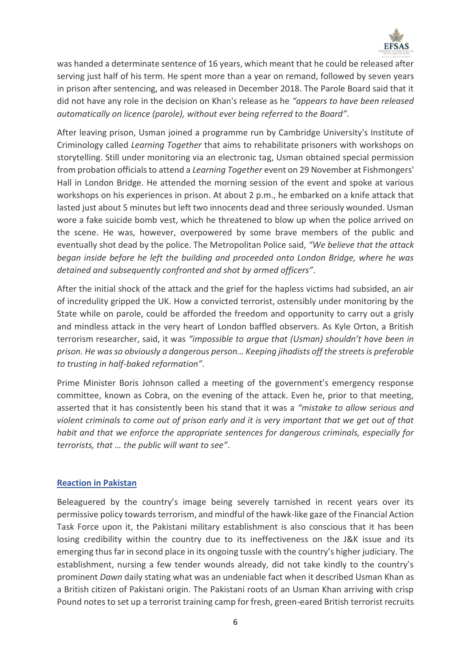

was handed a determinate sentence of 16 years, which meant that he could be released after serving just half of his term. He spent more than a year on remand, followed by seven years in prison after sentencing, and was released in December 2018. The Parole Board said that it did not have any role in the decision on Khan's release as he *"appears to have been released automatically on licence (parole), without ever being referred to the Board"*.

After leaving prison, Usman joined a programme run by Cambridge University's Institute of Criminology called *Learning Together* that aims to rehabilitate prisoners with workshops on storytelling. Still under monitoring via an electronic tag, Usman obtained special permission from probation officials to attend a *Learning Together* event on 29 November at Fishmongers' Hall in London Bridge. He attended the morning session of the event and spoke at various workshops on his experiences in prison. At about 2 p.m., he embarked on a knife attack that lasted just about 5 minutes but left two innocents dead and three seriously wounded. Usman wore a fake suicide bomb vest, which he threatened to blow up when the police arrived on the scene. He was, however, overpowered by some brave members of the public and eventually shot dead by the police. The Metropolitan Police said, *"We believe that the attack began inside before he left the building and proceeded onto London Bridge, where he was detained and subsequently confronted and shot by armed officers"*.

After the initial shock of the attack and the grief for the hapless victims had subsided, an air of incredulity gripped the UK. How a convicted terrorist, ostensibly under monitoring by the State while on parole, could be afforded the freedom and opportunity to carry out a grisly and mindless attack in the very heart of London baffled observers. As Kyle Orton, a British terrorism researcher, said, it was *"impossible to argue that (Usman) shouldn't have been in prison. He was so obviously a dangerous person… Keeping jihadists off the streets is preferable to trusting in half-baked reformation"*.

Prime Minister Boris Johnson called a meeting of the government's emergency response committee, known as Cobra, on the evening of the attack. Even he, prior to that meeting, asserted that it has consistently been his stand that it was a *"mistake to allow serious and violent criminals to come out of prison early and it is very important that we get out of that habit and that we enforce the appropriate sentences for dangerous criminals, especially for terrorists, that … the public will want to see"*.

### **Reaction in Pakistan**

Beleaguered by the country's image being severely tarnished in recent years over its permissive policy towards terrorism, and mindful of the hawk-like gaze of the Financial Action Task Force upon it, the Pakistani military establishment is also conscious that it has been losing credibility within the country due to its ineffectiveness on the J&K issue and its emerging thus far in second place in its ongoing tussle with the country's higher judiciary. The establishment, nursing a few tender wounds already, did not take kindly to the country's prominent *Dawn* daily stating what was an undeniable fact when it described Usman Khan as a British citizen of Pakistani origin. The Pakistani roots of an Usman Khan arriving with crisp Pound notes to set up a terrorist training camp for fresh, green-eared British terrorist recruits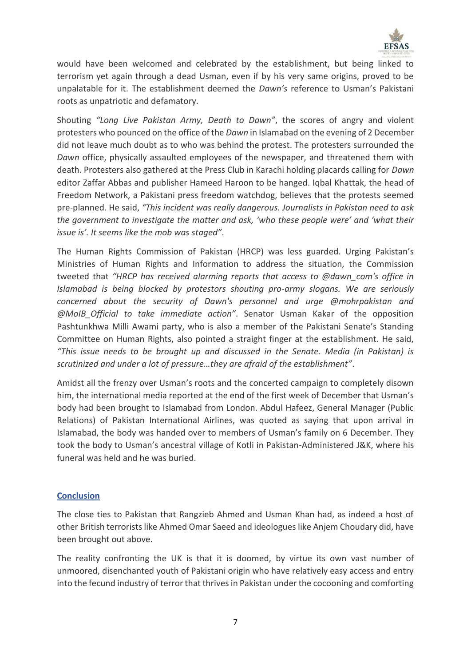

would have been welcomed and celebrated by the establishment, but being linked to terrorism yet again through a dead Usman, even if by his very same origins, proved to be unpalatable for it. The establishment deemed the *Dawn's* reference to Usman's Pakistani roots as unpatriotic and defamatory.

Shouting *"Long Live Pakistan Army, Death to Dawn"*, the scores of angry and violent protesters who pounced on the office of the *Dawn* in Islamabad on the evening of 2 December did not leave much doubt as to who was behind the protest. The protesters surrounded the *Dawn* office, physically assaulted employees of the newspaper, and threatened them with death. Protesters also gathered at the Press Club in Karachi holding placards calling for *Dawn* editor Zaffar Abbas and publisher Hameed Haroon to be hanged. Iqbal Khattak, the head of Freedom Network, a Pakistani press freedom watchdog, believes that the protests seemed pre-planned. He said, *"This incident was really dangerous. Journalists in Pakistan need to ask the government to investigate the matter and ask, 'who these people were' and 'what their issue is'. It seems like the mob was staged"*.

The Human Rights Commission of Pakistan (HRCP) was less guarded. Urging Pakistan's Ministries of Human Rights and Information to address the situation, the Commission tweeted that *"HRCP has received alarming reports that access to @dawn\_com's office in Islamabad is being blocked by protestors shouting pro-army slogans. We are seriously concerned about the security of Dawn's personnel and urge @mohrpakistan and @MoIB\_Official to take immediate action"*. Senator Usman Kakar of the opposition Pashtunkhwa Milli Awami party, who is also a member of the Pakistani Senate's Standing Committee on Human Rights, also pointed a straight finger at the establishment. He said, *"This issue needs to be brought up and discussed in the Senate. Media (in Pakistan) is scrutinized and under a lot of pressure…they are afraid of the establishment"*.

Amidst all the frenzy over Usman's roots and the concerted campaign to completely disown him, the international media reported at the end of the first week of December that Usman's body had been brought to Islamabad from London. Abdul Hafeez, General Manager (Public Relations) of Pakistan International Airlines, was quoted as saying that upon arrival in Islamabad, the body was handed over to members of Usman's family on 6 December. They took the body to Usman's ancestral village of Kotli in Pakistan-Administered J&K, where his funeral was held and he was buried.

### **Conclusion**

The close ties to Pakistan that Rangzieb Ahmed and Usman Khan had, as indeed a host of other British terrorists like Ahmed Omar Saeed and ideologues like Anjem Choudary did, have been brought out above.

The reality confronting the UK is that it is doomed, by virtue its own vast number of unmoored, disenchanted youth of Pakistani origin who have relatively easy access and entry into the fecund industry of terror that thrives in Pakistan under the cocooning and comforting